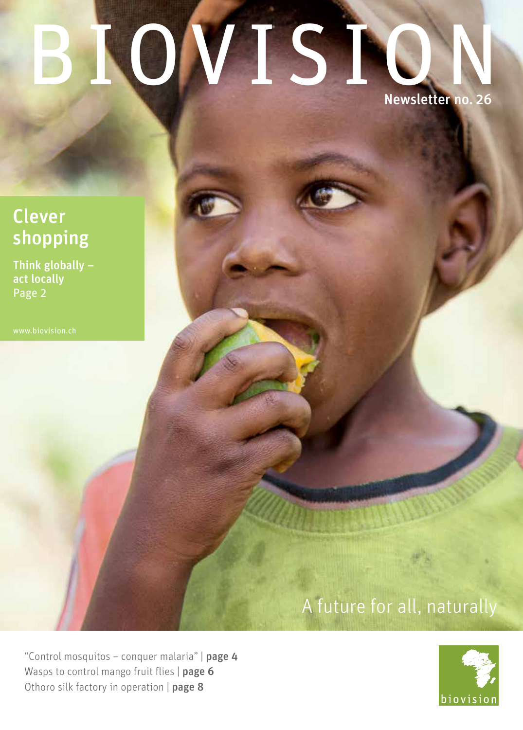# ROVIS1 Newsletter no. 26

## Clever shopping

Think globally – act locally Page 2

# A future for all, naturally

"Control mosquitos - conquer malaria" | page 4 Wasps to control mango fruit flies | page 6 Othoro silk factory in operation | page 8

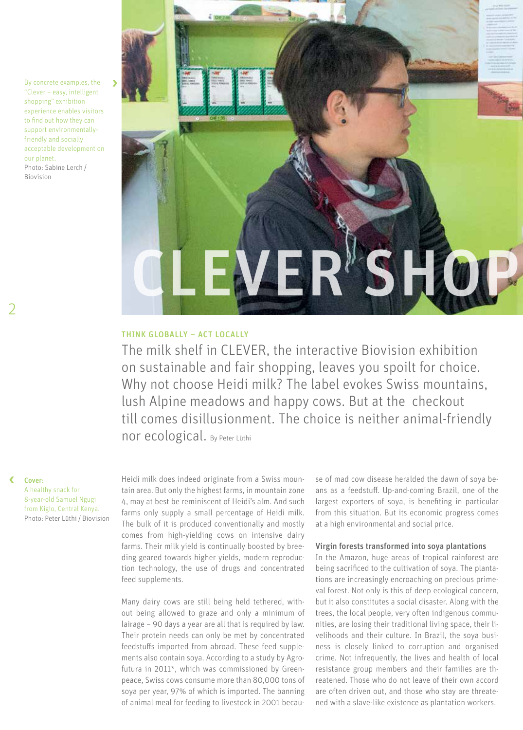By concrete examples, the "Clever – easy, intelligent shopping" exhibition experience enables visitors to find out how they can support environmentallyfriendly and socially acceptable development on our planet. Photo: Sabine Lerch /  Biovision



#### Think globally – act locally

The milk shelf in CLEVER, the interactive Biovision exhibition on sustainable and fair shopping, leaves you spoilt for choice. Why not choose Heidi milk? The label evokes Swiss mountains, lush Alpine meadows and happy cows. But at the checkout till comes disillusionment. The choice is neither animal-friendly nor ecological. By Peter Lüthi

Cover: A healthy snack for 8-year-old Samuel Ngugi from Kigio, Central Kenya. Photo: Peter Lüthi / Biovision Heidi milk does indeed originate from a Swiss mountain area. But only the highest farms, in mountain zone 4, may at best be reminiscent of Heidi's alm. And such farms only supply a small percentage of Heidi milk. The bulk of it is produced conventionally and mostly comes from high-yielding cows on intensive dairy farms. Their milk yield is continually boosted by breeding geared towards higher yields, modern reproduction technology, the use of drugs and concentrated feed supplements.

Many dairy cows are still being held tethered, without being allowed to graze and only a minimum of lairage – 90 days a year are all that is required by law. Their protein needs can only be met by concentrated feedstuffs imported from abroad. These feed supplements also contain soya. According to a study by Agrofutura in 2011\*, which was commissioned by Greenpeace, Swiss cows consume more than 80,000 tons of soya per year, 97% of which is imported. The banning of animal meal for feeding to livestock in 2001 because of mad cow disease heralded the dawn of soya beans as a feedstuff. Up-and-coming Brazil, one of the largest exporters of soya, is benefiting in particular from this situation. But its economic progress comes at a high environmental and social price.

#### Virgin forests transformed into soya plantations

In the Amazon, huge areas of tropical rainforest are being sacrificed to the cultivation of soya. The plantations are increasingly encroaching on precious primeval forest. Not only is this of deep ecological concern, but it also constitutes a social disaster. Along with the trees, the local people, very often indigenous communities, are losing their traditional living space, their livelihoods and their culture. In Brazil, the soya business is closely linked to corruption and organised crime. Not infrequently, the lives and health of local resistance group members and their families are threatened. Those who do not leave of their own accord are often driven out, and those who stay are threatened with a slave-like existence as plantation workers.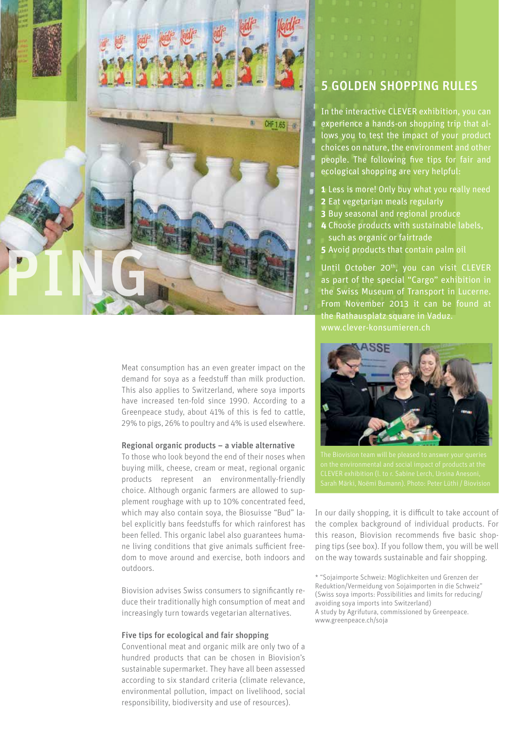

Meat consumption has an even greater impact on the demand for soya as a feedstuff than milk production. This also applies to Switzerland, where soya imports have increased ten-fold since 1990. According to a Greenpeace study, about 41% of this is fed to cattle, 29% to pigs, 26% to poultry and 4% is used elsewhere.

#### Regional organic products – a viable alternative

To those who look beyond the end of their noses when buying milk, cheese, cream or meat, regional organic products represent an environmentally-friendly choice. Although organic farmers are allowed to supplement roughage with up to 10% concentrated feed, which may also contain soya, the Biosuisse "Bud" label explicitly bans feedstuffs for which rainforest has been felled. This organic label also guarantees humane living conditions that give animals sufficient freedom to move around and exercise, both indoors and outdoors.

Biovision advises Swiss consumers to significantly reduce their traditionally high consumption of meat and increasingly turn towards vegetarian alternatives.

#### Five tips for ecological and fair shopping

Conventional meat and organic milk are only two of a hundred products that can be chosen in Biovision's sustainable supermarket. They have all been assessed according to six standard criteria (climate relevance, environmental pollution, impact on livelihood, social responsibility, biodiversity and use of resources).

## 5 GOLDEN SHOPPING RULES

In the interactive CLEVER exhibition, you can experience a hands-on shopping trip that allows you to test the impact of your product choices on nature, the environment and other people. The following five tips for fair and ecological shopping are very helpful:

- **1** Less is more! Only buy what you really need
- **2** Eat vegetarian meals regularly
- **3** Buy seasonal and regional produce
- **4** Choose products with sustainable labels, such as organic or fairtrade
- **5** Avoid products that contain palm oil

Until October 20<sup>th</sup>, you can visit CLEVER as part of the special "Cargo" exhibition in the Swiss Museum of Transport in Lucerne. From November 2013 it can be found at the Rathausplatz square in Vaduz. www.clever-konsumieren.ch



The Biovision team will be pleased to answer your queries

In our daily shopping, it is difficult to take account of the complex background of individual products. For this reason, Biovision recommends five basic shopping tips (see box). If you follow them, you will be well on the way towards sustainable and fair shopping.

\* "Sojaimporte Schweiz: Möglichkeiten und Grenzen der Reduktion/Vermeidung von Sojaimporten in die Schweiz" (Swiss soya imports: Possibilities and limits for reducing/ avoiding soya imports into Switzerland) A study by Agrifutura, commissioned by Greenpeace. www.greenpeace.ch/soja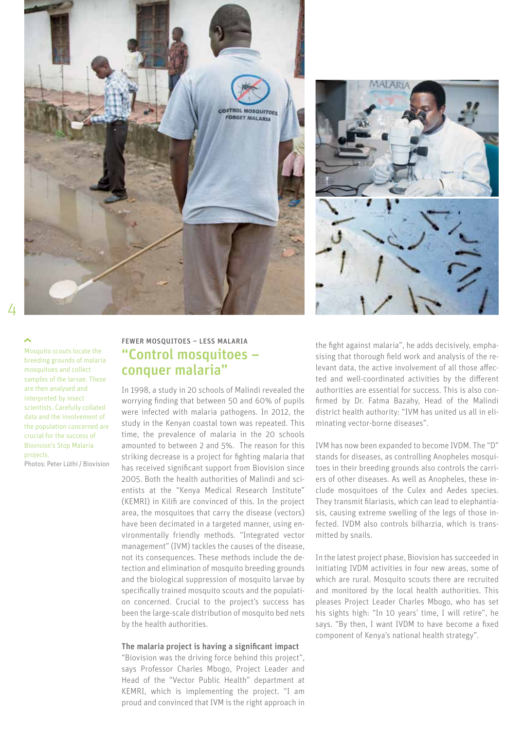



Mosquito scouts locate the breeding grounds of malaria mosquitoes and collect samples of the larvae. These are then analysed and interpreted by insect scientists. Carefully collated data and the involvement of the population concerned are crucial for the success of Biovision's Stop Malaria projects.

Photos: Peter Lüthi / Biovision

#### FEWER MOSQUITOES – LESS MALARIA "Control mosquitoes – conquer malaria"

In 1998, a study in 20 schools of Malindi revealed the worrying finding that between 50 and 60% of pupils were infected with malaria pathogens. In 2012, the study in the Kenyan coastal town was repeated. This time, the prevalence of malaria in the 20 schools amounted to between 2 and 5%. The reason for this striking decrease is a project for fighting malaria that has received significant support from Biovision since 2005. Both the health authorities of Malindi and scientists at the "Kenya Medical Research Institute" (KEMRI) in Kilifi are convinced of this. In the project area, the mosquitoes that carry the disease (vectors) have been decimated in a targeted manner, using environmentally friendly methods. "Integrated vector management" (IVM) tackles the causes of the disease, not its consequences. These methods include the detection and elimination of mosquito breeding grounds and the biological suppression of mosquito larvae by specifically trained mosquito scouts and the population concerned. Crucial to the project's success has been the large-scale distribution of mosquito bed nets by the health authorities.

#### The malaria project is having a significant impact

"Biovision was the driving force behind this project", says Professor Charles Mbogo, Project Leader and Head of the "Vector Public Health" department at KEMRI, which is implementing the project. "I am proud and convinced that IVM is the right approach in the fight against malaria", he adds decisively, emphasising that thorough field work and analysis of the relevant data, the active involvement of all those affected and well-coordinated activities by the different authorities are essential for success. This is also confirmed by Dr. Fatma Bazahy, Head of the Malindi district health authority: "IVM has united us all in eliminating vector-borne diseases".

IVM has now been expanded to become IVDM. The "D" stands for diseases, as controlling Anopheles mosquitoes in their breeding grounds also controls the carriers of other diseases. As well as Anopheles, these include mosquitoes of the Culex and Aedes species. They transmit filariasis, which can lead to elephantiasis, causing extreme swelling of the legs of those infected. IVDM also controls bilharzia, which is transmitted by snails.

In the latest project phase, Biovision has succeeded in initiating IVDM activities in four new areas, some of which are rural. Mosquito scouts there are recruited and monitored by the local health authorities. This pleases Project Leader Charles Mbogo, who has set his sights high: "In 10 years' time, I will retire", he says. "By then, I want IVDM to have become a fixed component of Kenya's national health strategy".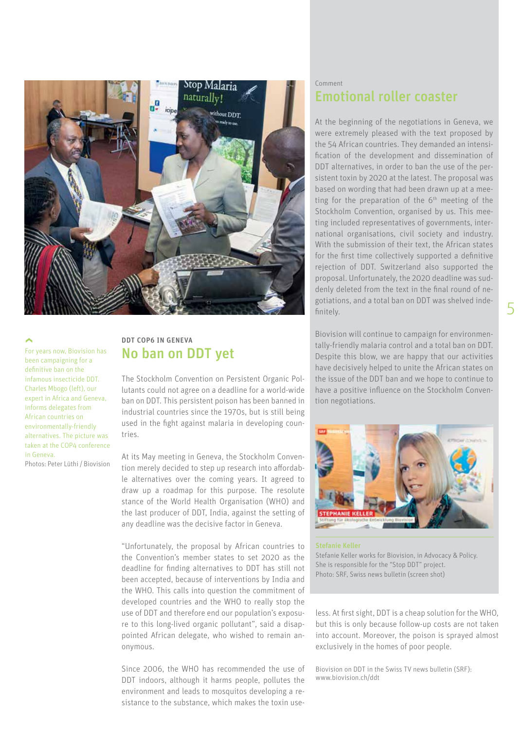

For years now, Biovision has been campaigning for a definitive ban on the infamous insecticide DDT. Charles Mbogo (left), our expert in Africa and Geneva, informs delegates from African countries on environmentally-friendly alternatives. The picture was taken at the COP4 conference in Geneva. Photos: Peter Lüthi / Biovision

## DDT COP6 IN GENEVA No ban on DDT yet

The Stockholm Convention on Persistent Organic Pollutants could not agree on a deadline for a world-wide ban on DDT. This persistent poison has been banned in industrial countries since the 1970s, but is still being used in the fight against malaria in developing countries.

At its May meeting in Geneva, the Stockholm Convention merely decided to step up research into affordable alternatives over the coming years. It agreed to draw up a roadmap for this purpose. The resolute stance of the World Health Organisation (WHO) and the last producer of DDT, India, against the setting of any deadline was the decisive factor in Geneva.

"Unfortunately, the proposal by African countries to the Convention's member states to set 2020 as the deadline for finding alternatives to DDT has still not been accepted, because of interventions by India and the WHO. This calls into question the commitment of developed countries and the WHO to really stop the use of DDT and therefore end our population's exposure to this long-lived organic pollutant", said a disappointed African delegate, who wished to remain anonymous.

Since 2006, the WHO has recommended the use of DDT indoors, although it harms people, pollutes the environment and leads to mosquitos developing a resistance to the substance, which makes the toxin use-

#### Comment Emotional roller coaster

At the beginning of the negotiations in Geneva, we were extremely pleased with the text proposed by the 54 African countries. They demanded an intensification of the development and dissemination of DDT alternatives, in order to ban the use of the persistent toxin by 2020 at the latest. The proposal was based on wording that had been drawn up at a meeting for the preparation of the  $6<sup>th</sup>$  meeting of the Stockholm Convention, organised by us. This meeting included representatives of governments, international organisations, civil society and industry. With the submission of their text, the African states for the first time collectively supported a definitive rejection of DDT. Switzerland also supported the proposal. Unfortunately, the 2020 deadline was suddenly deleted from the text in the final round of negotiations, and a total ban on DDT was shelved indefinitely.

Biovision will continue to campaign for environmentally-friendly malaria control and a total ban on DDT. Despite this blow, we are happy that our activities have decisively helped to unite the African states on the issue of the DDT ban and we hope to continue to have a positive influence on the Stockholm Convention negotiations.



Stefanie Keller works for Biovision, in Advocacy & Policy. She is responsible for the "Stop DDT" project. Photo: SRF, Swiss news bulletin (screen shot)

less. At first sight, DDT is a cheap solution for the WHO, but this is only because follow-up costs are not taken into account. Moreover, the poison is sprayed almost exclusively in the homes of poor people.

Biovision on DDT in the Swiss TV news bulletin (SRF): www.biovision.ch/ddt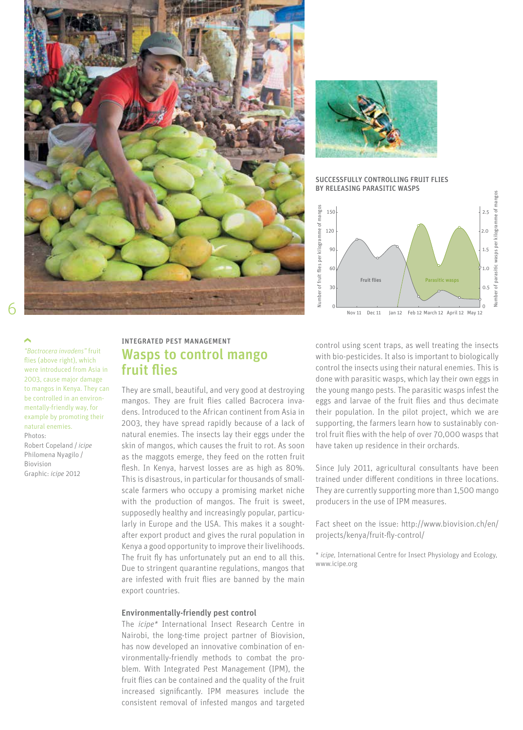



SUCCESSFULLY CONTROLLING FRUIT FLIES BY RELEASING PARASITIC WASPS



*"Bactrocera invadens"* fruit flies (above right), which were introduced from Asia in 2003, cause major damage to mangos in Kenya. They can be controlled in an environmentally-friendly way, for example by promoting their natural enemies. Photos:

Robert Copeland / *icipe* Philomena Nyagilo /  Biovision Graphic: *icipe* 2012

### INTEGRATED PEST MANAGEMENT Wasps to control mango fruit flies

They are small, beautiful, and very good at destroying mangos. They are fruit flies called Bacrocera invadens. Introduced to the African continent from Asia in 2003, they have spread rapidly because of a lack of natural enemies. The insects lay their eggs under the skin of mangos, which causes the fruit to rot. As soon as the maggots emerge, they feed on the rotten fruit flesh. In Kenya, harvest losses are as high as 80%. This is disastrous, in particular for thousands of smallscale farmers who occupy a promising market niche with the production of mangos. The fruit is sweet, supposedly healthy and increasingly popular, particularly in Europe and the USA. This makes it a soughtafter export product and gives the rural population in Kenya a good opportunity to improve their livelihoods. The fruit fly has unfortunately put an end to all this. Due to stringent quarantine regulations, mangos that are infested with fruit flies are banned by the main export countries.

#### Environmentally-friendly pest control

The *icipe\** International Insect Research Centre in Nairobi, the long-time project partner of Biovision, has now developed an innovative combination of environmentally-friendly methods to combat the problem. With Integrated Pest Management (IPM), the fruit flies can be contained and the quality of the fruit increased significantly. IPM measures include the consistent removal of infested mangos and targeted

control using scent traps, as well treating the insects with bio-pesticides. It also is important to biologically control the insects using their natural enemies. This is done with parasitic wasps, which lay their own eggs in the young mango pests. The parasitic wasps infest the eggs and larvae of the fruit flies and thus decimate their population. In the pilot project, which we are supporting, the farmers learn how to sustainably control fruit flies with the help of over 70,000 wasps that have taken up residence in their orchards.

Since July 2011, agricultural consultants have been trained under different conditions in three locations. They are currently supporting more than 1,500 mango producers in the use of IPM measures.

Fact sheet on the issue: http://www.biovision.ch/en/ projects/kenya/fruit-fly-control/

\* *icipe,* International Centre for Insect Physiology and Ecology, www.icipe.org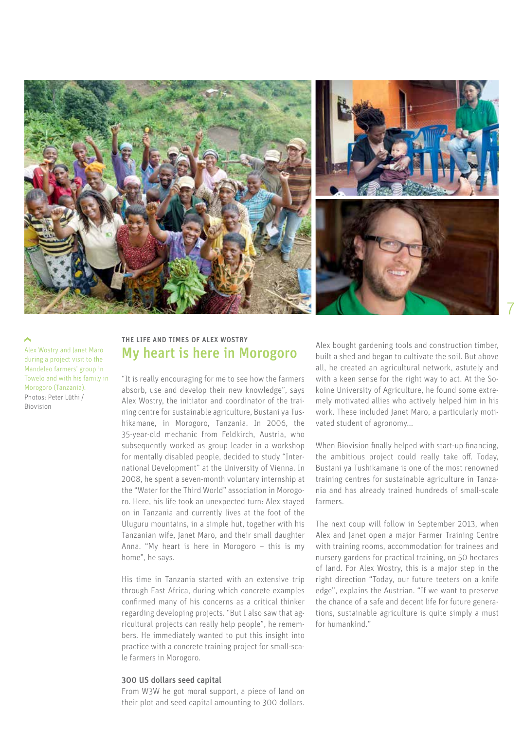

Alex Wostry and Janet Maro during a project visit to the Mandeleo farmers' group in Towelo and with his family in Morogoro (Tanzania). Photos: Peter Lüthi /  Biovision

#### THE LIFE AND TIMES OF ALEX WOSTRY My heart is here in Morogoro

"It is really encouraging for me to see how the farmers absorb, use and develop their new knowledge", says Alex Wostry, the initiator and coordinator of the training centre for sustainable agriculture, Bustani ya Tushikamane, in Morogoro, Tanzania. In 2006, the 35-year-old mechanic from Feldkirch, Austria, who subsequently worked as group leader in a workshop for mentally disabled people, decided to study "International Development" at the University of Vienna. In 2008, he spent a seven-month voluntary internship at the "Water for the Third World" association in Morogoro. Here, his life took an unexpected turn: Alex stayed on in Tanzania and currently lives at the foot of the Uluguru mountains, in a simple hut, together with his Tanzanian wife, Janet Maro, and their small daughter Anna. "My heart is here in Morogoro – this is my home", he says.

His time in Tanzania started with an extensive trip through East Africa, during which concrete examples confirmed many of his concerns as a critical thinker regarding developing projects. "But I also saw that agricultural projects can really help people", he remembers. He immediately wanted to put this insight into practice with a concrete training project for small-scale farmers in Morogoro.

#### 300 US dollars seed capital

From W3W he got moral support, a piece of land on their plot and seed capital amounting to 300 dollars. Alex bought gardening tools and construction timber, built a shed and began to cultivate the soil. But above all, he created an agricultural network, astutely and with a keen sense for the right way to act. At the Sokoine University of Agriculture, he found some extremely motivated allies who actively helped him in his work. These included Janet Maro, a particularly motivated student of agronomy...

When Biovision finally helped with start-up financing, the ambitious project could really take off. Today, Bustani ya Tushikamane is one of the most renowned training centres for sustainable agriculture in Tanzania and has already trained hundreds of small-scale farmers.

The next coup will follow in September 2013, when Alex and Janet open a major Farmer Training Centre with training rooms, accommodation for trainees and nursery gardens for practical training, on 50 hectares of land. For Alex Wostry, this is a major step in the right direction "Today, our future teeters on a knife edge", explains the Austrian. "If we want to preserve the chance of a safe and decent life for future generations, sustainable agriculture is quite simply a must for humankind."